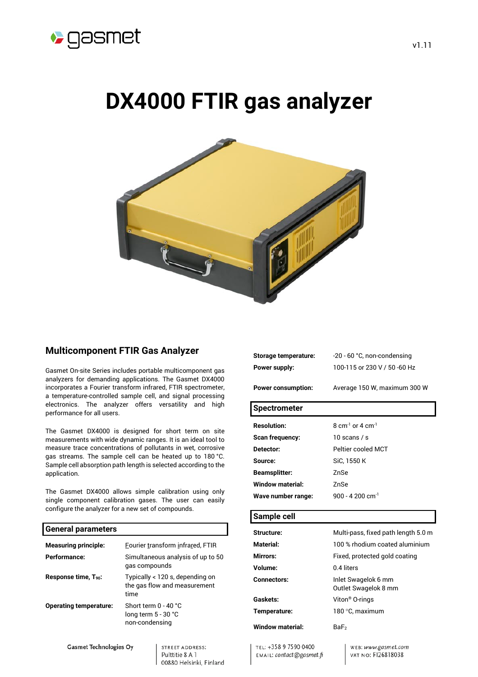

# **DX4000 FTIR gas analyzer**



# **Multicomponent FTIR Gas Analyzer**

Gasmet On-site Series includes portable multicomponent gas analyzers for demanding applications. The Gasmet DX4000 incorporates a Fourier transform infrared, FTIR spectrometer, a temperature-controlled sample cell, and signal processing electronics. The analyzer offers versatility and high performance for all users.

The Gasmet DX4000 is designed for short term on site measurements with wide dynamic ranges. It is an ideal tool to measure trace concentrations of pollutants in wet, corrosive gas streams. The sample cell can be heated up to 180 °C. Sample cell absorption path length is selected according to the application.

The Gasmet DX4000 allows simple calibration using only single component calibration gases. The user can easily configure the analyzer for a new set of compounds.

## **General parameters Measuring principle: Fourier transform infrared, FTIR Performance:** Simultaneous analysis of up to 50 gas compounds **Response time, T<sub>90</sub>:** Typically < 120 s, depending on the gas flow and measurement time **Operating temperature:** Short term 0 - 40 °C long term 5 - 30 °C non-condensing

**Gasmet Technologies Oy** 

STREET ADDRESS: Pulttitie 8 A 1 00880 Helsinki, Finland **Storage temperature:** -20 - 60 °C, non-condensing **Power supply:** 100-115 or 230 V / 50 -60 Hz

Power consumption: Average 150 W, maximum 300 W

**Spectrometer**

| <b>Resolution:</b>     | 8 cm <sup>-1</sup> or 4 cm <sup>-1</sup> |
|------------------------|------------------------------------------|
| <b>Scan frequency:</b> | 10 scans / s                             |
| Detector:              | Peltier cooled MCT                       |
| Source:                | SiC, 1550 K                              |
| <b>Beamsplitter:</b>   | 7nSe                                     |
| Window material:       | ZnSe                                     |
| Wave number range:     | 900 - 4.200 cm <sup>-1</sup>             |
|                        |                                          |

### **Sample cell**

| Structure:              | Multi-pass, fixed path length 5.0 m         |
|-------------------------|---------------------------------------------|
| Material:               | 100 % rhodium coated aluminium              |
| <b>Mirrors:</b>         | Fixed, protected gold coating               |
| Volume:                 | 0.4 liters                                  |
| <b>Connectors:</b>      | Inlet Swagelok 6 mm<br>Outlet Swagelok 8 mm |
| Gaskets:                | Viton <sup>®</sup> O-rings                  |
| Temperature:            | 180 °C. maximum                             |
| <b>Window material:</b> | BaF <sub>2</sub>                            |

TEL: +358 9 7590 0400 EMAIL: contact@gasmet.fi WEB: www.gasmet.com VAT NO: F126818038